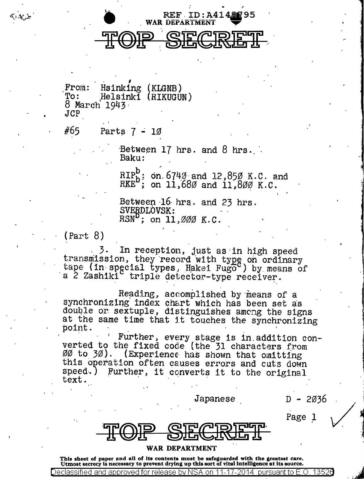

REF ID: A4148295

Hsinking (KLGNB) From: Helsinki (RIKUGUN)  $To:$ 8 March 1943  $JCP$ 

#65 Parts  $7 - 10$ 

> Between 17 hrs. and 8 hrs. Baku:

> > RIP<sub>b</sub>; on 674 $\emptyset$  and 12,85 $\emptyset$  K.C. and RKE<sup>b</sup>; on 11,68 $\emptyset$  and 11,8 $\emptyset$  $\emptyset$  K.C.

Between 16 hrs. and 23 hrs. SVERDLOVSK:  $\widehat{RSN}^D$ ; on 11,000 K.C.

 $(Part 8)$ 

3. In reception, just as in high speed<br>transmission, they record with type on ordinary<br>tape (in special types, Hakei Fugo ) by means of a 2 Zashiki triple detector-type receiver.

Reading, accomplished by means of a synchronizing index chart which has been set as double or sextuple, distinguishes among the signs at the same time that it touches the synchronizing point.

Further, every stage is in addition converted to the fixed code (the 31 characters from 00 to 30). (Experience has shown that omitting this operation often causes errors and cuts down Further, it converts it to the original speed.) text.

Japanese

 $D - 2036$ 

Page 1

## WAR DEPARTMENT

This sheet of paper and all of its contents must be safeguarded with the greatest care. Utmost secrecy is necessary to prevent drying up this sort of vital intelligence at its source.